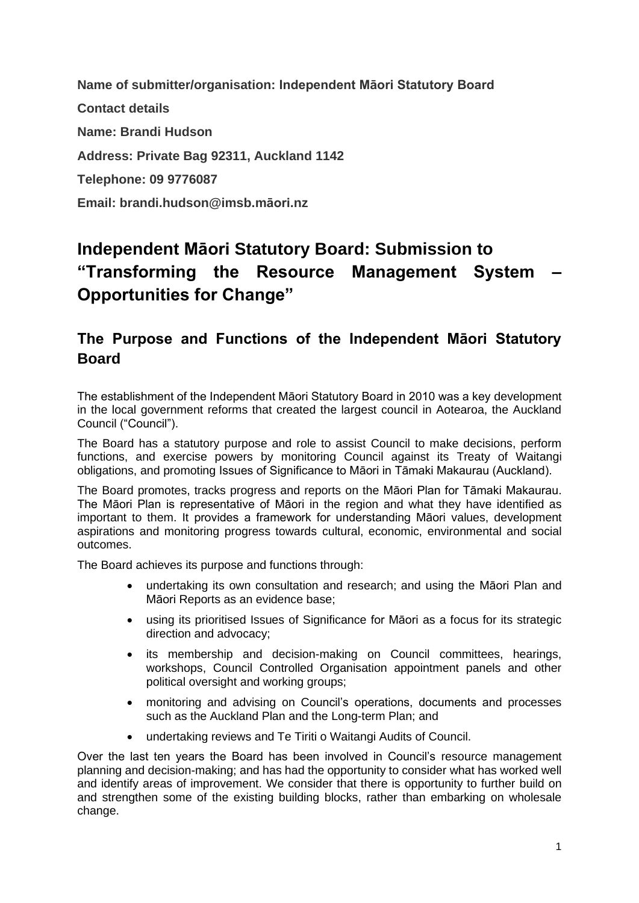**Name of submitter/organisation: Independent Māori Statutory Board Contact details Name: Brandi Hudson Address: Private Bag 92311, Auckland 1142 Telephone: 09 9776087 Email: brandi.hudson@imsb.māori.nz**

# **Independent Māori Statutory Board: Submission to "Transforming the Resource Management System – Opportunities for Change"**

### **The Purpose and Functions of the Independent Māori Statutory Board**

The establishment of the Independent Māori Statutory Board in 2010 was a key development in the local government reforms that created the largest council in Aotearoa, the Auckland Council ("Council").

The Board has a statutory purpose and role to assist Council to make decisions, perform functions, and exercise powers by monitoring Council against its Treaty of Waitangi obligations, and promoting Issues of Significance to Māori in Tāmaki Makaurau (Auckland).

The Board promotes, tracks progress and reports on the Māori Plan for Tāmaki Makaurau. The Māori Plan is representative of Māori in the region and what they have identified as important to them. It provides a framework for understanding Māori values, development aspirations and monitoring progress towards cultural, economic, environmental and social outcomes.

The Board achieves its purpose and functions through:

- undertaking its own consultation and research; and using the Māori Plan and Māori Reports as an evidence base;
- using its prioritised Issues of Significance for Māori as a focus for its strategic direction and advocacy;
- its membership and decision-making on Council committees, hearings, workshops, Council Controlled Organisation appointment panels and other political oversight and working groups;
- monitoring and advising on Council's operations, documents and processes such as the Auckland Plan and the Long-term Plan; and
- undertaking reviews and Te Tiriti o Waitangi Audits of Council.

Over the last ten years the Board has been involved in Council's resource management planning and decision-making; and has had the opportunity to consider what has worked well and identify areas of improvement. We consider that there is opportunity to further build on and strengthen some of the existing building blocks, rather than embarking on wholesale change.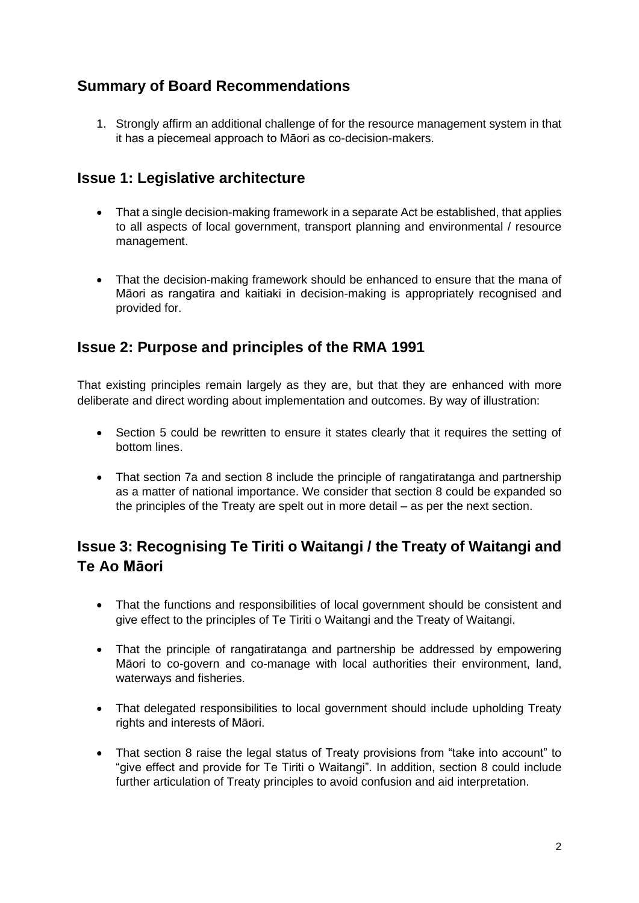## **Summary of Board Recommendations**

1. Strongly affirm an additional challenge of for the resource management system in that it has a piecemeal approach to Māori as co-decision-makers.

### **Issue 1: Legislative architecture**

- That a single decision-making framework in a separate Act be established, that applies to all aspects of local government, transport planning and environmental / resource management.
- That the decision-making framework should be enhanced to ensure that the mana of Māori as rangatira and kaitiaki in decision-making is appropriately recognised and provided for.

### **Issue 2: Purpose and principles of the RMA 1991**

That existing principles remain largely as they are, but that they are enhanced with more deliberate and direct wording about implementation and outcomes. By way of illustration:

- Section 5 could be rewritten to ensure it states clearly that it requires the setting of bottom lines.
- That section 7a and section 8 include the principle of rangatiratanga and partnership as a matter of national importance. We consider that section 8 could be expanded so the principles of the Treaty are spelt out in more detail – as per the next section.

## **Issue 3: Recognising Te Tiriti o Waitangi / the Treaty of Waitangi and Te Ao Māori**

- That the functions and responsibilities of local government should be consistent and give effect to the principles of Te Tiriti o Waitangi and the Treaty of Waitangi.
- That the principle of rangatiratanga and partnership be addressed by empowering Māori to co-govern and co-manage with local authorities their environment, land, waterways and fisheries.
- That delegated responsibilities to local government should include upholding Treaty rights and interests of Māori.
- That section 8 raise the legal status of Treaty provisions from "take into account" to "give effect and provide for Te Tiriti o Waitangi". In addition, section 8 could include further articulation of Treaty principles to avoid confusion and aid interpretation.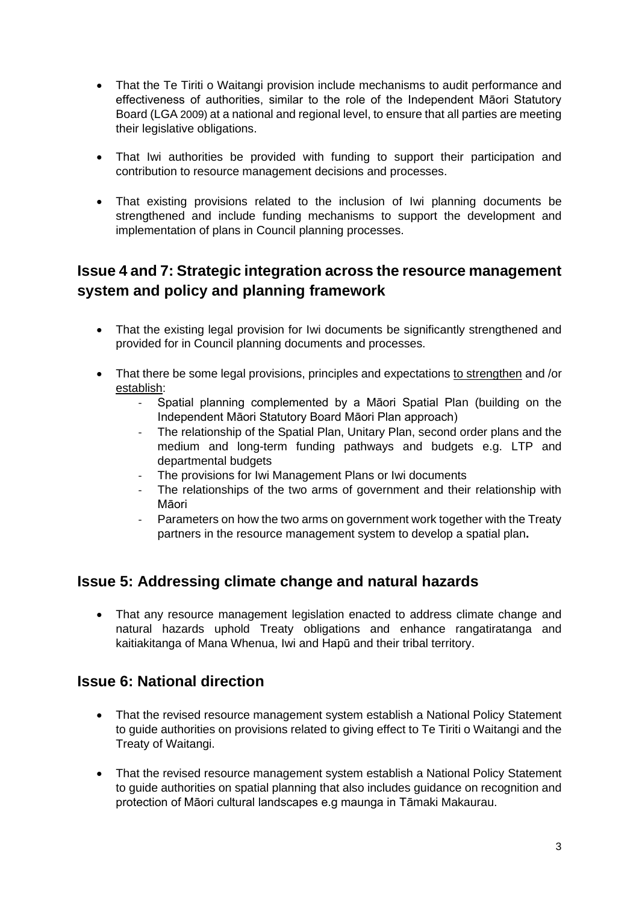- That the Te Tiriti o Waitangi provision include mechanisms to audit performance and effectiveness of authorities, similar to the role of the Independent Māori Statutory Board (LGA 2009) at a national and regional level, to ensure that all parties are meeting their legislative obligations.
- That Iwi authorities be provided with funding to support their participation and contribution to resource management decisions and processes.
- That existing provisions related to the inclusion of Iwi planning documents be strengthened and include funding mechanisms to support the development and implementation of plans in Council planning processes.

## **Issue 4 and 7: Strategic integration across the resource management system and policy and planning framework**

- That the existing legal provision for Iwi documents be significantly strengthened and provided for in Council planning documents and processes.
- That there be some legal provisions, principles and expectations to strengthen and /or establish:
	- Spatial planning complemented by a Māori Spatial Plan (building on the Independent Māori Statutory Board Māori Plan approach)
	- The relationship of the Spatial Plan, Unitary Plan, second order plans and the medium and long-term funding pathways and budgets e.g. LTP and departmental budgets
	- The provisions for Iwi Management Plans or Iwi documents
	- The relationships of the two arms of government and their relationship with Māori
	- Parameters on how the two arms on government work together with the Treaty partners in the resource management system to develop a spatial plan**.**

### **Issue 5: Addressing climate change and natural hazards**

• That any resource management legislation enacted to address climate change and natural hazards uphold Treaty obligations and enhance rangatiratanga and kaitiakitanga of Mana Whenua, Iwi and Hapū and their tribal territory.

### **Issue 6: National direction**

- That the revised resource management system establish a National Policy Statement to guide authorities on provisions related to giving effect to Te Tiriti o Waitangi and the Treaty of Waitangi.
- That the revised resource management system establish a National Policy Statement to guide authorities on spatial planning that also includes guidance on recognition and protection of Māori cultural landscapes e.g maunga in Tāmaki Makaurau.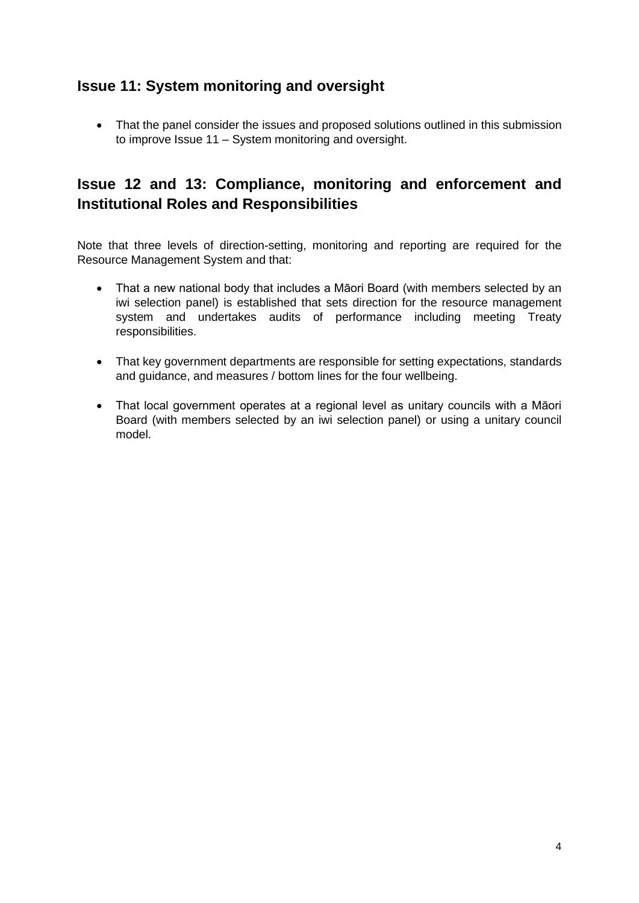## **Issue 11: System monitoring and oversight**

• That the panel consider the issues and proposed solutions outlined in this submission to improve Issue 11 – System monitoring and oversight.

## **Issue 12 and 13: Compliance, monitoring and enforcement and Institutional Roles and Responsibilities**

Note that three levels of direction-setting, monitoring and reporting are required for the Resource Management System and that:

- That a new national body that includes a Māori Board (with members selected by an iwi selection panel) is established that sets direction for the resource management system and undertakes audits of performance including meeting Treaty responsibilities.
- That key government departments are responsible for setting expectations, standards and guidance, and measures / bottom lines for the four wellbeing.
- That local government operates at a regional level as unitary councils with a Māori Board (with members selected by an iwi selection panel) or using a unitary council model.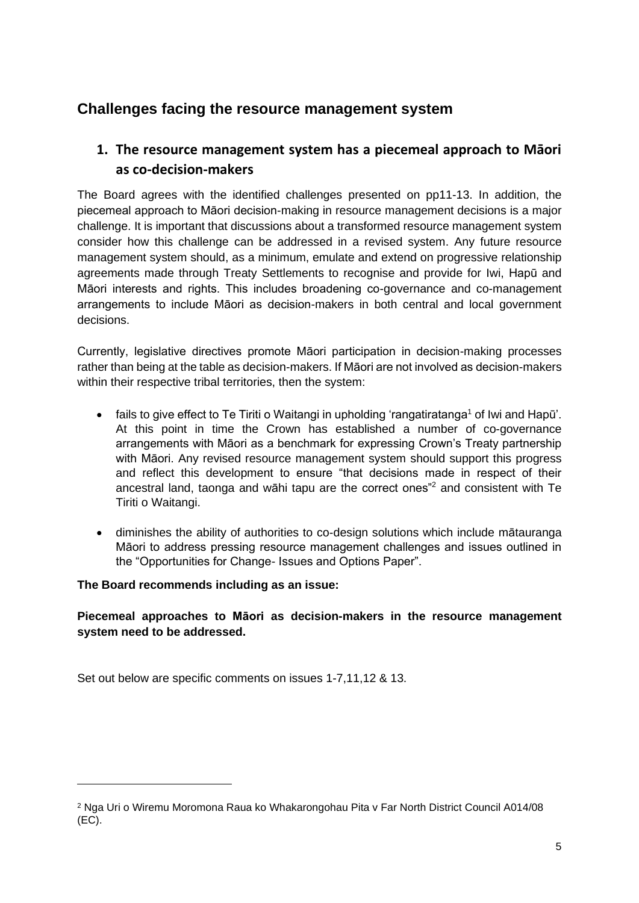## **Challenges facing the resource management system**

### **1. The resource management system has a piecemeal approach to Māori as co-decision-makers**

The Board agrees with the identified challenges presented on pp11-13. In addition, the piecemeal approach to Māori decision-making in resource management decisions is a major challenge. It is important that discussions about a transformed resource management system consider how this challenge can be addressed in a revised system. Any future resource management system should, as a minimum, emulate and extend on progressive relationship agreements made through Treaty Settlements to recognise and provide for Iwi, Hapū and Māori interests and rights. This includes broadening co-governance and co-management arrangements to include Māori as decision-makers in both central and local government decisions.

Currently, legislative directives promote Māori participation in decision-making processes rather than being at the table as decision-makers. If Māori are not involved as decision-makers within their respective tribal territories, then the system:

- fails to give effect to Te Tiriti o Waitangi in upholding 'rangatiratanga<sup>1</sup> of Iwi and Hapū'. At this point in time the Crown has established a number of co-governance arrangements with Māori as a benchmark for expressing Crown's Treaty partnership with Māori. Any revised resource management system should support this progress and reflect this development to ensure "that decisions made in respect of their ancestral land, taonga and wāhi tapu are the correct ones"<sup>2</sup> and consistent with Te Tiriti o Waitangi.
- diminishes the ability of authorities to co-design solutions which include mātauranga Māori to address pressing resource management challenges and issues outlined in the "Opportunities for Change- Issues and Options Paper".

#### **The Board recommends including as an issue:**

**Piecemeal approaches to Māori as decision-makers in the resource management system need to be addressed.** 

Set out below are specific comments on issues 1-7,11,12 & 13.

<sup>2</sup> Nga Uri o Wiremu Moromona Raua ko Whakarongohau Pita v Far North District Council A014/08  $(EC)$ .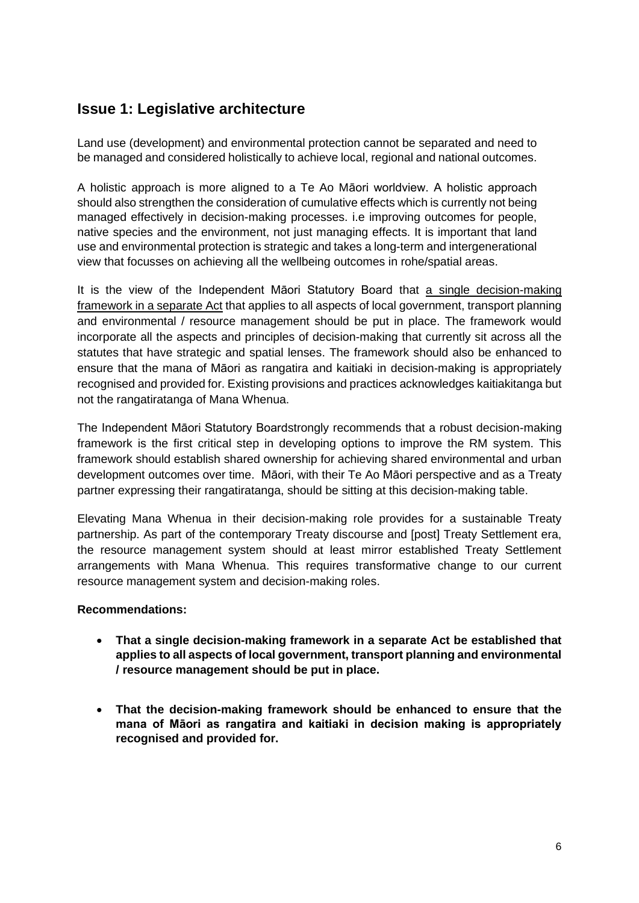## **Issue 1: Legislative architecture**

Land use (development) and environmental protection cannot be separated and need to be managed and considered holistically to achieve local, regional and national outcomes.

A holistic approach is more aligned to a Te Ao Māori worldview. A holistic approach should also strengthen the consideration of cumulative effects which is currently not being managed effectively in decision-making processes. i.e improving outcomes for people, native species and the environment, not just managing effects. It is important that land use and environmental protection is strategic and takes a long-term and intergenerational view that focusses on achieving all the wellbeing outcomes in rohe/spatial areas.

It is the view of the Independent Māori Statutory Board that a single decision-making framework in a separate Act that applies to all aspects of local government, transport planning and environmental / resource management should be put in place. The framework would incorporate all the aspects and principles of decision-making that currently sit across all the statutes that have strategic and spatial lenses. The framework should also be enhanced to ensure that the mana of Māori as rangatira and kaitiaki in decision-making is appropriately recognised and provided for. Existing provisions and practices acknowledges kaitiakitanga but not the rangatiratanga of Mana Whenua.

The Independent Māori Statutory Boardstrongly recommends that a robust decision-making framework is the first critical step in developing options to improve the RM system. This framework should establish shared ownership for achieving shared environmental and urban development outcomes over time. Māori, with their Te Ao Māori perspective and as a Treaty partner expressing their rangatiratanga, should be sitting at this decision-making table.

Elevating Mana Whenua in their decision-making role provides for a sustainable Treaty partnership. As part of the contemporary Treaty discourse and [post] Treaty Settlement era, the resource management system should at least mirror established Treaty Settlement arrangements with Mana Whenua. This requires transformative change to our current resource management system and decision-making roles.

#### **Recommendations:**

- **That a single decision-making framework in a separate Act be established that applies to all aspects of local government, transport planning and environmental / resource management should be put in place.**
- **That the decision-making framework should be enhanced to ensure that the mana of Māori as rangatira and kaitiaki in decision making is appropriately recognised and provided for.**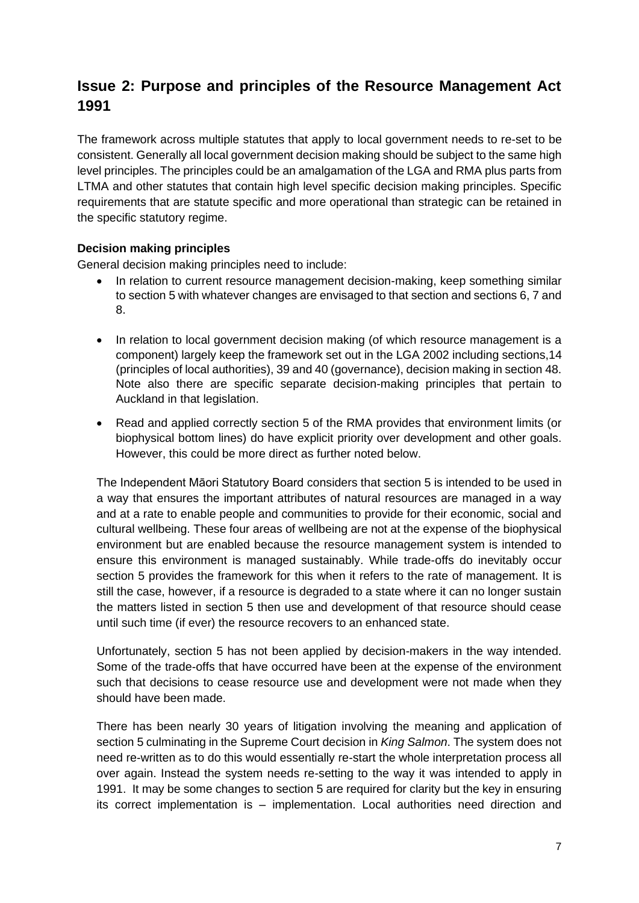## **Issue 2: Purpose and principles of the Resource Management Act 1991**

The framework across multiple statutes that apply to local government needs to re-set to be consistent. Generally all local government decision making should be subject to the same high level principles. The principles could be an amalgamation of the LGA and RMA plus parts from LTMA and other statutes that contain high level specific decision making principles. Specific requirements that are statute specific and more operational than strategic can be retained in the specific statutory regime.

#### **Decision making principles**

General decision making principles need to include:

- In relation to current resource management decision-making, keep something similar to section 5 with whatever changes are envisaged to that section and sections 6, 7 and 8.
- In relation to local government decision making (of which resource management is a component) largely keep the framework set out in the LGA 2002 including sections,14 (principles of local authorities), 39 and 40 (governance), decision making in section 48. Note also there are specific separate decision-making principles that pertain to Auckland in that legislation.
- Read and applied correctly section 5 of the RMA provides that environment limits (or biophysical bottom lines) do have explicit priority over development and other goals. However, this could be more direct as further noted below.

The Independent Māori Statutory Board considers that section 5 is intended to be used in a way that ensures the important attributes of natural resources are managed in a way and at a rate to enable people and communities to provide for their economic, social and cultural wellbeing. These four areas of wellbeing are not at the expense of the biophysical environment but are enabled because the resource management system is intended to ensure this environment is managed sustainably. While trade-offs do inevitably occur section 5 provides the framework for this when it refers to the rate of management. It is still the case, however, if a resource is degraded to a state where it can no longer sustain the matters listed in section 5 then use and development of that resource should cease until such time (if ever) the resource recovers to an enhanced state.

Unfortunately, section 5 has not been applied by decision-makers in the way intended. Some of the trade-offs that have occurred have been at the expense of the environment such that decisions to cease resource use and development were not made when they should have been made.

There has been nearly 30 years of litigation involving the meaning and application of section 5 culminating in the Supreme Court decision in *King Salmon*. The system does not need re-written as to do this would essentially re-start the whole interpretation process all over again. Instead the system needs re-setting to the way it was intended to apply in 1991. It may be some changes to section 5 are required for clarity but the key in ensuring its correct implementation is – implementation. Local authorities need direction and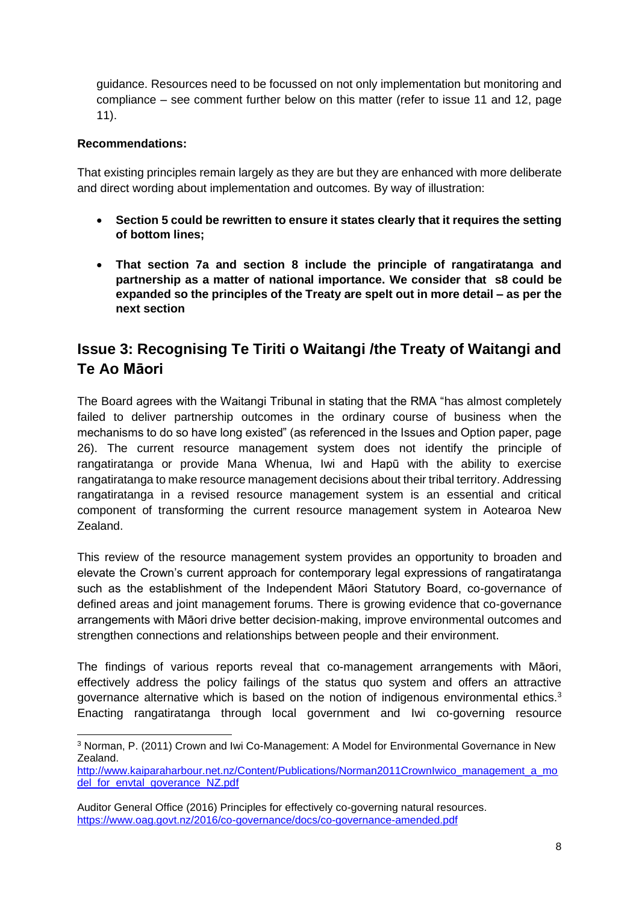guidance. Resources need to be focussed on not only implementation but monitoring and compliance – see comment further below on this matter (refer to issue 11 and 12, page 11).

#### **Recommendations:**

That existing principles remain largely as they are but they are enhanced with more deliberate and direct wording about implementation and outcomes. By way of illustration:

- **Section 5 could be rewritten to ensure it states clearly that it requires the setting of bottom lines;**
- **That section 7a and section 8 include the principle of rangatiratanga and partnership as a matter of national importance. We consider that s8 could be expanded so the principles of the Treaty are spelt out in more detail – as per the next section**

## **Issue 3: Recognising Te Tiriti o Waitangi /the Treaty of Waitangi and Te Ao Māori**

The Board agrees with the Waitangi Tribunal in stating that the RMA "has almost completely failed to deliver partnership outcomes in the ordinary course of business when the mechanisms to do so have long existed" (as referenced in the Issues and Option paper, page 26). The current resource management system does not identify the principle of rangatiratanga or provide Mana Whenua, Iwi and Hapū with the ability to exercise rangatiratanga to make resource management decisions about their tribal territory. Addressing rangatiratanga in a revised resource management system is an essential and critical component of transforming the current resource management system in Aotearoa New Zealand.

This review of the resource management system provides an opportunity to broaden and elevate the Crown's current approach for contemporary legal expressions of rangatiratanga such as the establishment of the Independent Māori Statutory Board, co-governance of defined areas and joint management forums. There is growing evidence that co-governance arrangements with Māori drive better decision-making, improve environmental outcomes and strengthen connections and relationships between people and their environment.

The findings of various reports reveal that co-management arrangements with Māori, effectively address the policy failings of the status quo system and offers an attractive governance alternative which is based on the notion of indigenous environmental ethics.<sup>3</sup> Enacting rangatiratanga through local government and Iwi co-governing resource

<sup>3</sup> Norman, P. (2011) Crown and Iwi Co-Management: A Model for Environmental Governance in New Zealand.

[http://www.kaiparaharbour.net.nz/Content/Publications/Norman2011CrownIwico\\_management\\_a\\_mo](http://www.kaiparaharbour.net.nz/Content/Publications/Norman2011CrownIwico_management_a_model_for_envtal_goverance_NZ.pdf) del for envtal goverance NZ.pdf

Auditor General Office (2016) Principles for effectively co-governing natural resources. <https://www.oag.govt.nz/2016/co-governance/docs/co-governance-amended.pdf>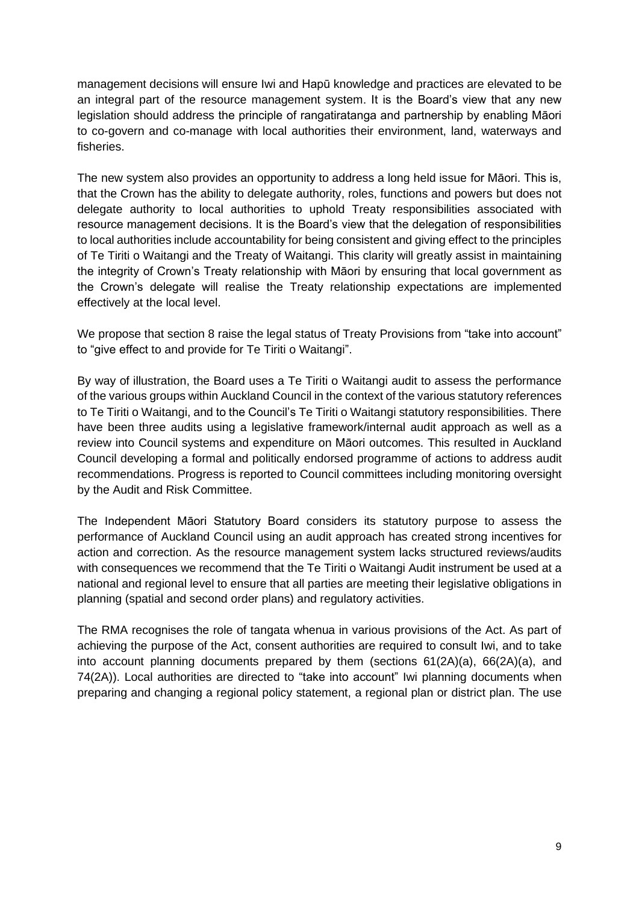management decisions will ensure Iwi and Hapū knowledge and practices are elevated to be an integral part of the resource management system. It is the Board's view that any new legislation should address the principle of rangatiratanga and partnership by enabling Māori to co-govern and co-manage with local authorities their environment, land, waterways and fisheries.

The new system also provides an opportunity to address a long held issue for Māori. This is, that the Crown has the ability to delegate authority, roles, functions and powers but does not delegate authority to local authorities to uphold Treaty responsibilities associated with resource management decisions. It is the Board's view that the delegation of responsibilities to local authorities include accountability for being consistent and giving effect to the principles of Te Tiriti o Waitangi and the Treaty of Waitangi. This clarity will greatly assist in maintaining the integrity of Crown's Treaty relationship with Māori by ensuring that local government as the Crown's delegate will realise the Treaty relationship expectations are implemented effectively at the local level.

We propose that section 8 raise the legal status of Treaty Provisions from "take into account" to "give effect to and provide for Te Tiriti o Waitangi".

By way of illustration, the Board uses a Te Tiriti o Waitangi audit to assess the performance of the various groups within Auckland Council in the context of the various statutory references to Te Tiriti o Waitangi, and to the Council's Te Tiriti o Waitangi statutory responsibilities. There have been three audits using a legislative framework/internal audit approach as well as a review into Council systems and expenditure on Māori outcomes. This resulted in Auckland Council developing a formal and politically endorsed programme of actions to address audit recommendations. Progress is reported to Council committees including monitoring oversight by the Audit and Risk Committee.

The Independent Māori Statutory Board considers its statutory purpose to assess the performance of Auckland Council using an audit approach has created strong incentives for action and correction. As the resource management system lacks structured reviews/audits with consequences we recommend that the Te Tiriti o Waitangi Audit instrument be used at a national and regional level to ensure that all parties are meeting their legislative obligations in planning (spatial and second order plans) and regulatory activities.

The RMA recognises the role of tangata whenua in various provisions of the Act. As part of achieving the purpose of the Act, consent authorities are required to consult Iwi, and to take into account planning documents prepared by them (sections 61(2A)(a), 66(2A)(a), and 74(2A)). Local authorities are directed to "take into account" Iwi planning documents when preparing and changing a regional policy statement, a regional plan or district plan. The use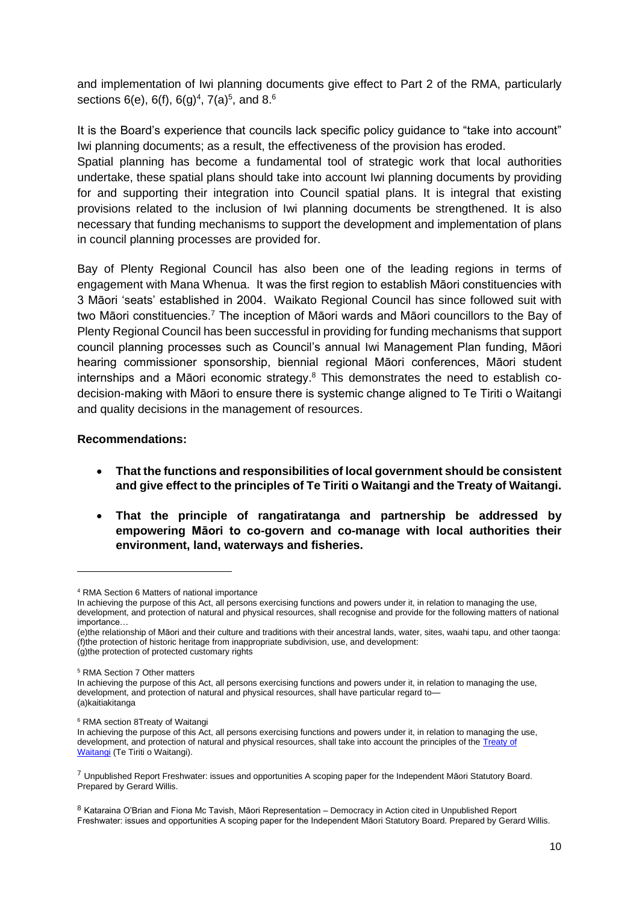and implementation of Iwi planning documents give effect to Part 2 of the RMA, particularly sections 6(e), 6(f), 6(g)<sup>4</sup>, 7(a)<sup>5</sup>, and 8.<sup>6</sup>

It is the Board's experience that councils lack specific policy guidance to "take into account" Iwi planning documents; as a result, the effectiveness of the provision has eroded.

Spatial planning has become a fundamental tool of strategic work that local authorities undertake, these spatial plans should take into account Iwi planning documents by providing for and supporting their integration into Council spatial plans. It is integral that existing provisions related to the inclusion of Iwi planning documents be strengthened. It is also necessary that funding mechanisms to support the development and implementation of plans in council planning processes are provided for.

Bay of Plenty Regional Council has also been one of the leading regions in terms of engagement with Mana Whenua. It was the first region to establish Māori constituencies with 3 Māori 'seats' established in 2004. Waikato Regional Council has since followed suit with two Māori constituencies.<sup>7</sup> The inception of Māori wards and Māori councillors to the Bay of Plenty Regional Council has been successful in providing for funding mechanisms that support council planning processes such as Council's annual Iwi Management Plan funding, Māori hearing commissioner sponsorship, biennial regional Māori conferences, Māori student internships and a Māori economic strategy. <sup>8</sup> This demonstrates the need to establish codecision-making with Māori to ensure there is systemic change aligned to Te Tiriti o Waitangi and quality decisions in the management of resources.

#### **Recommendations:**

- **That the functions and responsibilities of local government should be consistent and give effect to the principles of Te Tiriti o Waitangi and the Treaty of Waitangi.**
- **That the principle of rangatiratanga and partnership be addressed by empowering Māori to co-govern and co-manage with local authorities their environment, land, waterways and fisheries.**

 $7$  Unpublished Report Freshwater: issues and opportunities A scoping paper for the Independent Māori Statutory Board. Prepared by Gerard Willis.

<sup>4</sup> RMA Section 6 Matters of national importance

In achieving the purpose of this Act, all persons exercising functions and powers under it, in relation to managing the use, development, and protection of natural and physical resources, shall recognise and provide for the following matters of national importance…

<sup>(</sup>e)the relationship of Māori and their culture and traditions with their ancestral lands, water, sites, waahi tapu, and other taonga: (f)the protection of historic heritage from inappropriate subdivision, use, and development: (g)the protection of protected customary rights

<sup>5</sup> RMA Section 7 Other matters

In achieving the purpose of this Act, all persons exercising functions and powers under it, in relation to managing the use, development, and protection of natural and physical resources, shall have particular regard to— (a)kaitiakitanga

<sup>6</sup> RMA section 8Treaty of Waitangi

In achieving the purpose of this Act, all persons exercising functions and powers under it, in relation to managing the use, development, and protection of natural and physical resources, shall take into account the principles of the [Treaty](http://www.legislation.govt.nz/act/public/1991/0069/latest/link.aspx?search=sw_096be8ed81825f2a_7_25_se&p=1&id=DLM435834) of [Waitangi](http://www.legislation.govt.nz/act/public/1991/0069/latest/link.aspx?search=sw_096be8ed81825f2a_7_25_se&p=1&id=DLM435834) (Te Tiriti o Waitangi).

<sup>8</sup> Kataraina O'Brian and Fiona Mc Tavish, Māori Representation – Democracy in Action cited in Unpublished Report Freshwater: issues and opportunities A scoping paper for the Independent Māori Statutory Board. Prepared by Gerard Willis.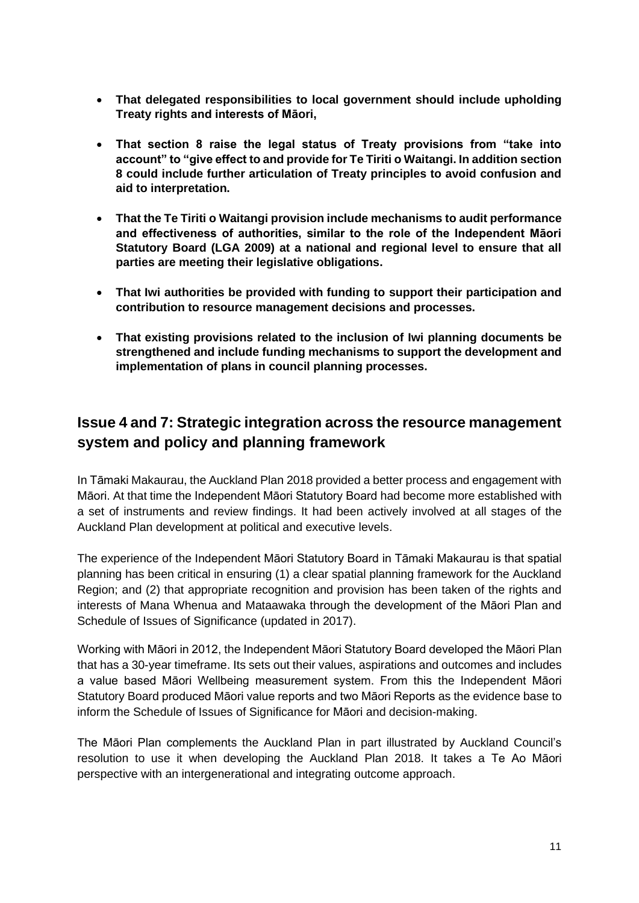- **That delegated responsibilities to local government should include upholding Treaty rights and interests of Māori,**
- **That section 8 raise the legal status of Treaty provisions from "take into account" to "give effect to and provide for Te Tiriti o Waitangi. In addition section 8 could include further articulation of Treaty principles to avoid confusion and aid to interpretation.**
- **That the Te Tiriti o Waitangi provision include mechanisms to audit performance and effectiveness of authorities, similar to the role of the Independent Māori Statutory Board (LGA 2009) at a national and regional level to ensure that all parties are meeting their legislative obligations.**
- **That Iwi authorities be provided with funding to support their participation and contribution to resource management decisions and processes.**
- **That existing provisions related to the inclusion of Iwi planning documents be strengthened and include funding mechanisms to support the development and implementation of plans in council planning processes.**

## **Issue 4 and 7: Strategic integration across the resource management system and policy and planning framework**

In Tāmaki Makaurau, the Auckland Plan 2018 provided a better process and engagement with Māori. At that time the Independent Māori Statutory Board had become more established with a set of instruments and review findings. It had been actively involved at all stages of the Auckland Plan development at political and executive levels.

The experience of the Independent Māori Statutory Board in Tāmaki Makaurau is that spatial planning has been critical in ensuring (1) a clear spatial planning framework for the Auckland Region; and (2) that appropriate recognition and provision has been taken of the rights and interests of Mana Whenua and Mataawaka through the development of the Māori Plan and Schedule of Issues of Significance (updated in 2017).

Working with Māori in 2012, the Independent Māori Statutory Board developed the Māori Plan that has a 30-year timeframe. Its sets out their values, aspirations and outcomes and includes a value based Māori Wellbeing measurement system. From this the Independent Māori Statutory Board produced Māori value reports and two Māori Reports as the evidence base to inform the Schedule of Issues of Significance for Māori and decision-making.

The Māori Plan complements the Auckland Plan in part illustrated by Auckland Council's resolution to use it when developing the Auckland Plan 2018. It takes a Te Ao Māori perspective with an intergenerational and integrating outcome approach.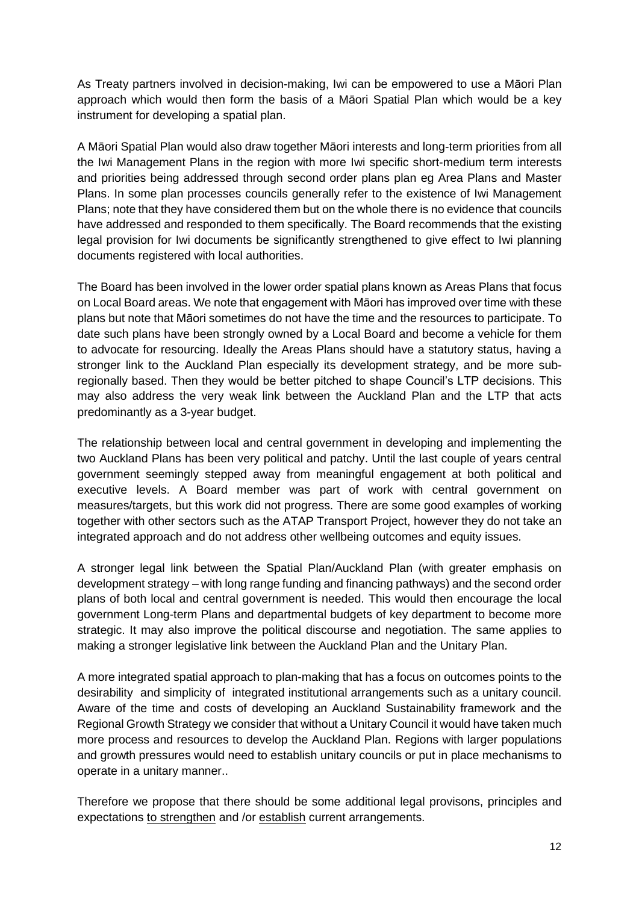As Treaty partners involved in decision-making, Iwi can be empowered to use a Māori Plan approach which would then form the basis of a Māori Spatial Plan which would be a key instrument for developing a spatial plan.

A Māori Spatial Plan would also draw together Māori interests and long-term priorities from all the Iwi Management Plans in the region with more Iwi specific short-medium term interests and priorities being addressed through second order plans plan eg Area Plans and Master Plans. In some plan processes councils generally refer to the existence of Iwi Management Plans; note that they have considered them but on the whole there is no evidence that councils have addressed and responded to them specifically. The Board recommends that the existing legal provision for Iwi documents be significantly strengthened to give effect to Iwi planning documents registered with local authorities.

The Board has been involved in the lower order spatial plans known as Areas Plans that focus on Local Board areas. We note that engagement with Māori has improved over time with these plans but note that Māori sometimes do not have the time and the resources to participate. To date such plans have been strongly owned by a Local Board and become a vehicle for them to advocate for resourcing. Ideally the Areas Plans should have a statutory status, having a stronger link to the Auckland Plan especially its development strategy, and be more subregionally based. Then they would be better pitched to shape Council's LTP decisions. This may also address the very weak link between the Auckland Plan and the LTP that acts predominantly as a 3-year budget.

The relationship between local and central government in developing and implementing the two Auckland Plans has been very political and patchy. Until the last couple of years central government seemingly stepped away from meaningful engagement at both political and executive levels. A Board member was part of work with central government on measures/targets, but this work did not progress. There are some good examples of working together with other sectors such as the ATAP Transport Project, however they do not take an integrated approach and do not address other wellbeing outcomes and equity issues.

A stronger legal link between the Spatial Plan/Auckland Plan (with greater emphasis on development strategy – with long range funding and financing pathways) and the second order plans of both local and central government is needed. This would then encourage the local government Long-term Plans and departmental budgets of key department to become more strategic. It may also improve the political discourse and negotiation. The same applies to making a stronger legislative link between the Auckland Plan and the Unitary Plan.

A more integrated spatial approach to plan-making that has a focus on outcomes points to the desirability and simplicity of integrated institutional arrangements such as a unitary council. Aware of the time and costs of developing an Auckland Sustainability framework and the Regional Growth Strategy we consider that without a Unitary Council it would have taken much more process and resources to develop the Auckland Plan. Regions with larger populations and growth pressures would need to establish unitary councils or put in place mechanisms to operate in a unitary manner..

Therefore we propose that there should be some additional legal provisons, principles and expectations to strengthen and /or establish current arrangements.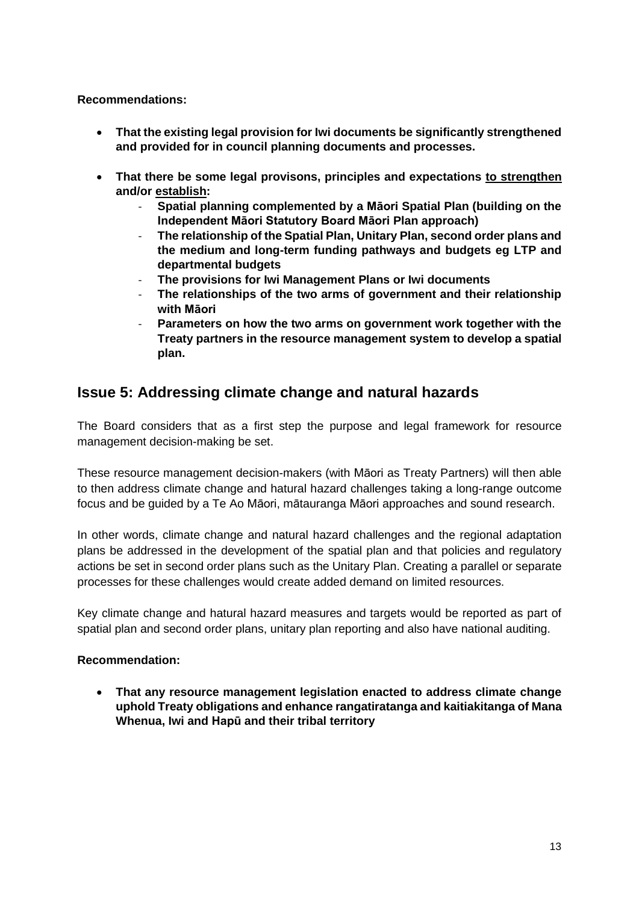#### **Recommendations:**

- **That the existing legal provision for Iwi documents be significantly strengthened and provided for in council planning documents and processes.**
- **That there be some legal provisons, principles and expectations to strengthen and/or establish:** 
	- **Spatial planning complemented by a Māori Spatial Plan (building on the Independent Māori Statutory Board Māori Plan approach)**
	- **The relationship of the Spatial Plan, Unitary Plan, second order plans and the medium and long-term funding pathways and budgets eg LTP and departmental budgets**
	- **The provisions for Iwi Management Plans or Iwi documents**
	- **The relationships of the two arms of government and their relationship with Māori**
	- **Parameters on how the two arms on government work together with the Treaty partners in the resource management system to develop a spatial plan.**

### **Issue 5: Addressing climate change and natural hazards**

The Board considers that as a first step the purpose and legal framework for resource management decision-making be set.

These resource management decision-makers (with Māori as Treaty Partners) will then able to then address climate change and hatural hazard challenges taking a long-range outcome focus and be guided by a Te Ao Māori, mātauranga Māori approaches and sound research.

In other words, climate change and natural hazard challenges and the regional adaptation plans be addressed in the development of the spatial plan and that policies and regulatory actions be set in second order plans such as the Unitary Plan. Creating a parallel or separate processes for these challenges would create added demand on limited resources.

Key climate change and hatural hazard measures and targets would be reported as part of spatial plan and second order plans, unitary plan reporting and also have national auditing.

#### **Recommendation:**

• **That any resource management legislation enacted to address climate change uphold Treaty obligations and enhance rangatiratanga and kaitiakitanga of Mana Whenua, Iwi and Hapū and their tribal territory**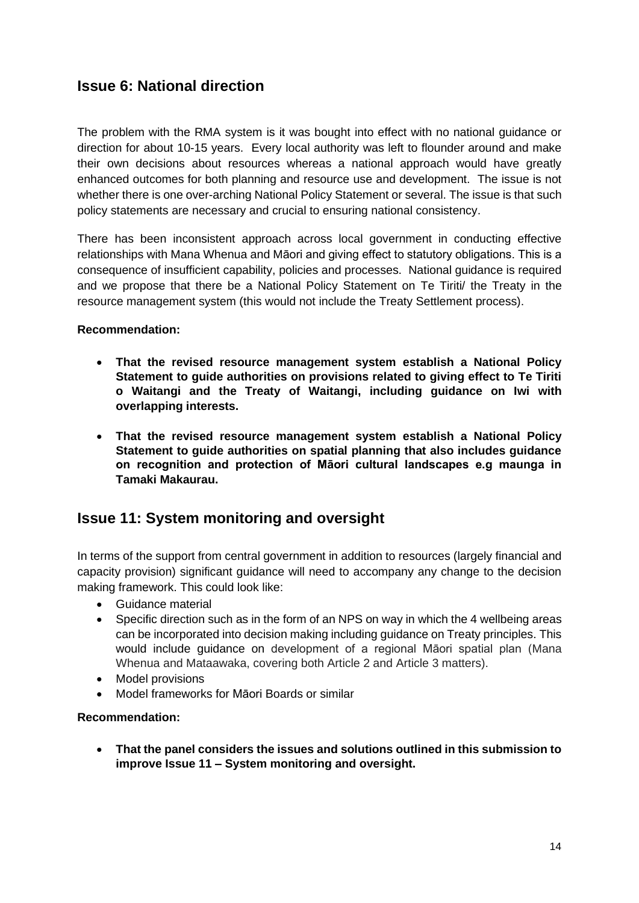## **Issue 6: National direction**

The problem with the RMA system is it was bought into effect with no national guidance or direction for about 10-15 years. Every local authority was left to flounder around and make their own decisions about resources whereas a national approach would have greatly enhanced outcomes for both planning and resource use and development. The issue is not whether there is one over-arching National Policy Statement or several. The issue is that such policy statements are necessary and crucial to ensuring national consistency.

There has been inconsistent approach across local government in conducting effective relationships with Mana Whenua and Māori and giving effect to statutory obligations. This is a consequence of insufficient capability, policies and processes. National guidance is required and we propose that there be a National Policy Statement on Te Tiriti/ the Treaty in the resource management system (this would not include the Treaty Settlement process).

#### **Recommendation:**

- **That the revised resource management system establish a National Policy Statement to guide authorities on provisions related to giving effect to Te Tiriti o Waitangi and the Treaty of Waitangi, including guidance on Iwi with overlapping interests.**
- **That the revised resource management system establish a National Policy Statement to guide authorities on spatial planning that also includes guidance on recognition and protection of Māori cultural landscapes e.g maunga in Tamaki Makaurau.**

### **Issue 11: System monitoring and oversight**

In terms of the support from central government in addition to resources (largely financial and capacity provision) significant guidance will need to accompany any change to the decision making framework. This could look like:

- Guidance material
- Specific direction such as in the form of an NPS on way in which the 4 wellbeing areas can be incorporated into decision making including guidance on Treaty principles. This would include guidance on development of a regional Māori spatial plan (Mana Whenua and Mataawaka, covering both Article 2 and Article 3 matters).
- Model provisions
- Model frameworks for Māori Boards or similar

#### **Recommendation:**

• **That the panel considers the issues and solutions outlined in this submission to improve Issue 11 – System monitoring and oversight.**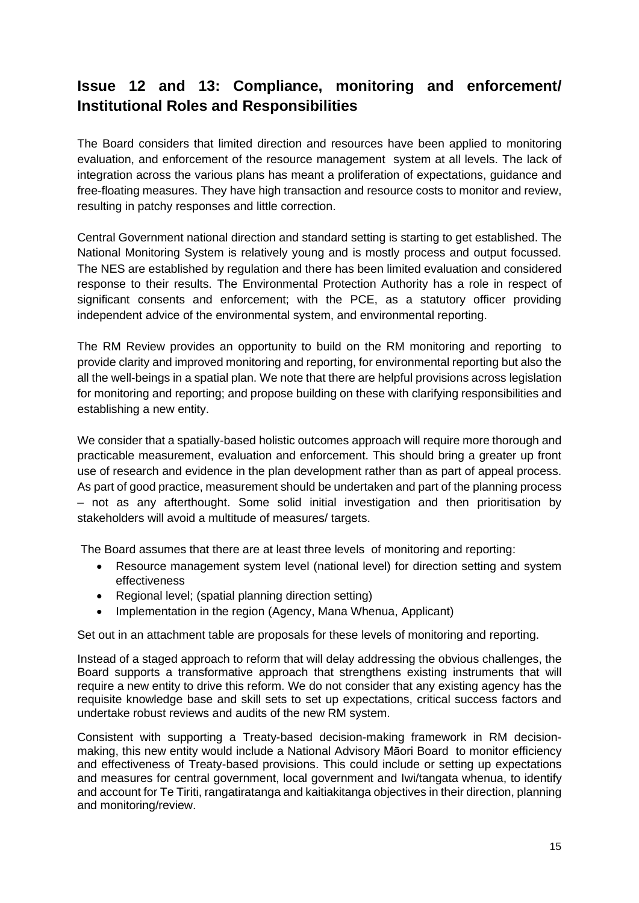## **Issue 12 and 13: Compliance, monitoring and enforcement/ Institutional Roles and Responsibilities**

The Board considers that limited direction and resources have been applied to monitoring evaluation, and enforcement of the resource management system at all levels. The lack of integration across the various plans has meant a proliferation of expectations, guidance and free-floating measures. They have high transaction and resource costs to monitor and review, resulting in patchy responses and little correction.

Central Government national direction and standard setting is starting to get established. The National Monitoring System is relatively young and is mostly process and output focussed. The NES are established by regulation and there has been limited evaluation and considered response to their results. The Environmental Protection Authority has a role in respect of significant consents and enforcement; with the PCE, as a statutory officer providing independent advice of the environmental system, and environmental reporting.

The RM Review provides an opportunity to build on the RM monitoring and reporting to provide clarity and improved monitoring and reporting, for environmental reporting but also the all the well-beings in a spatial plan. We note that there are helpful provisions across legislation for monitoring and reporting; and propose building on these with clarifying responsibilities and establishing a new entity.

We consider that a spatially-based holistic outcomes approach will require more thorough and practicable measurement, evaluation and enforcement. This should bring a greater up front use of research and evidence in the plan development rather than as part of appeal process. As part of good practice, measurement should be undertaken and part of the planning process – not as any afterthought. Some solid initial investigation and then prioritisation by stakeholders will avoid a multitude of measures/ targets.

The Board assumes that there are at least three levels of monitoring and reporting:

- Resource management system level (national level) for direction setting and system effectiveness
- Regional level; (spatial planning direction setting)
- Implementation in the region (Agency, Mana Whenua, Applicant)

Set out in an attachment table are proposals for these levels of monitoring and reporting.

Instead of a staged approach to reform that will delay addressing the obvious challenges, the Board supports a transformative approach that strengthens existing instruments that will require a new entity to drive this reform. We do not consider that any existing agency has the requisite knowledge base and skill sets to set up expectations, critical success factors and undertake robust reviews and audits of the new RM system.

Consistent with supporting a Treaty-based decision-making framework in RM decisionmaking, this new entity would include a National Advisory Māori Board to monitor efficiency and effectiveness of Treaty-based provisions. This could include or setting up expectations and measures for central government, local government and Iwi/tangata whenua, to identify and account for Te Tiriti, rangatiratanga and kaitiakitanga objectives in their direction, planning and monitoring/review.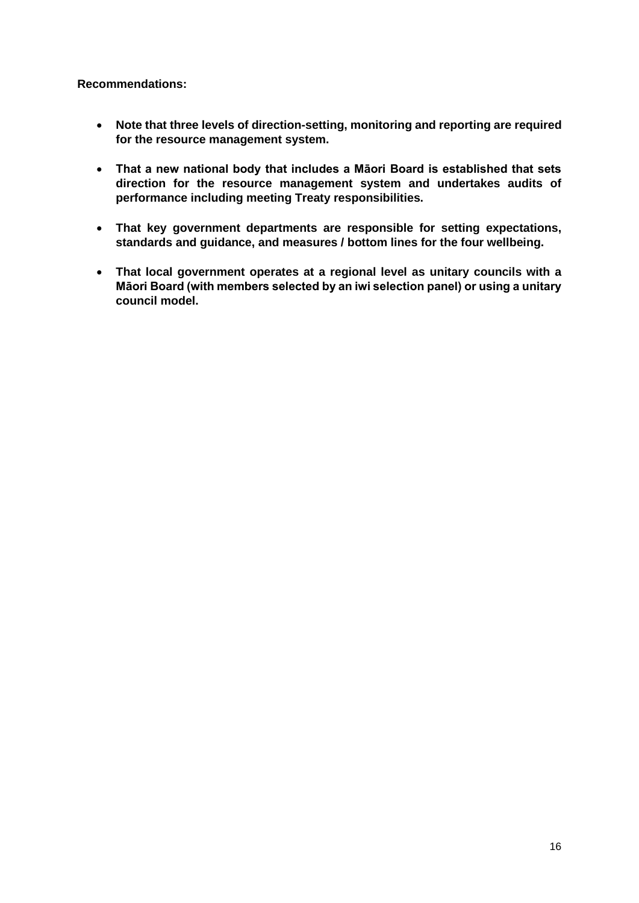**Recommendations:**

- **Note that three levels of direction-setting, monitoring and reporting are required for the resource management system.**
- **That a new national body that includes a Māori Board is established that sets direction for the resource management system and undertakes audits of performance including meeting Treaty responsibilities.**
- **That key government departments are responsible for setting expectations, standards and guidance, and measures / bottom lines for the four wellbeing.**
- **That local government operates at a regional level as unitary councils with a Māori Board (with members selected by an iwi selection panel) or using a unitary council model.**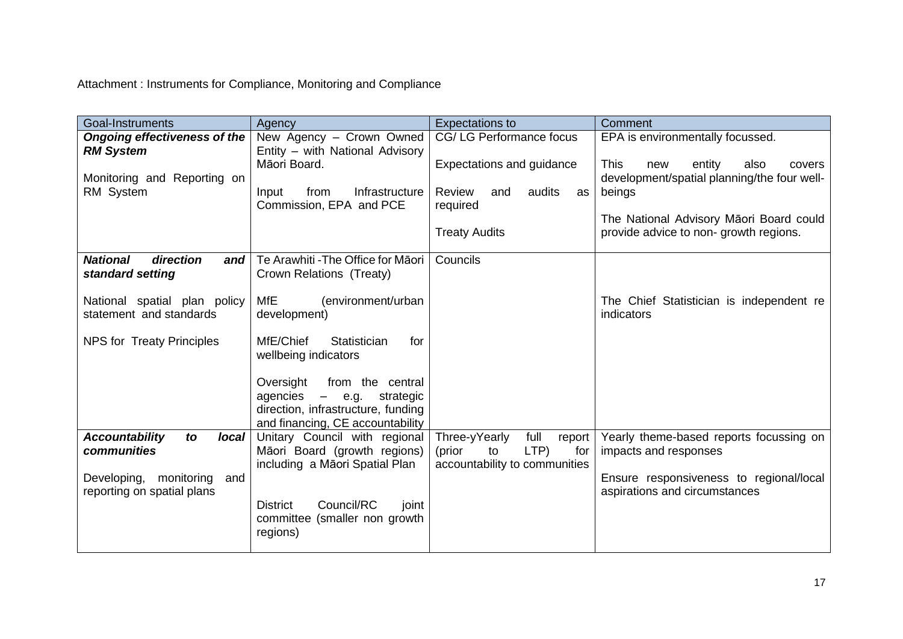Attachment : Instruments for Compliance, Monitoring and Compliance

| Goal-Instruments                                                                                                   | Agency                                                                                                                                                                                                                    | <b>Expectations to</b>                                                                                                           | Comment                                                                                                                                                                                                                         |
|--------------------------------------------------------------------------------------------------------------------|---------------------------------------------------------------------------------------------------------------------------------------------------------------------------------------------------------------------------|----------------------------------------------------------------------------------------------------------------------------------|---------------------------------------------------------------------------------------------------------------------------------------------------------------------------------------------------------------------------------|
| <b>Ongoing effectiveness of the</b><br><b>RM System</b><br>Monitoring and Reporting on<br>RM System                | New Agency - Crown Owned<br>Entity - with National Advisory<br>Māori Board.<br>Infrastructure<br>from<br>Input<br>Commission, EPA and PCE                                                                                 | CG/LG Performance focus<br>Expectations and guidance<br>audits<br><b>Review</b><br>and<br>as<br>required<br><b>Treaty Audits</b> | EPA is environmentally focussed.<br><b>This</b><br>entity<br>also<br>new<br>covers<br>development/spatial planning/the four well-<br>beings<br>The National Advisory Māori Board could<br>provide advice to non-growth regions. |
| <b>National</b><br>direction<br>and<br>standard setting                                                            | Te Arawhiti - The Office for Māori<br>Crown Relations (Treaty)                                                                                                                                                            | Councils                                                                                                                         |                                                                                                                                                                                                                                 |
| National spatial plan policy<br>statement and standards                                                            | <b>MfE</b><br>(environment/urban<br>development)                                                                                                                                                                          |                                                                                                                                  | The Chief Statistician is independent re<br>indicators                                                                                                                                                                          |
| <b>NPS for Treaty Principles</b>                                                                                   | MfE/Chief<br>Statistician<br>for<br>wellbeing indicators<br>Oversight<br>from the central<br>agencies<br>$\equiv$ $\equiv$<br>e.g.<br>strategic<br>direction, infrastructure, funding<br>and financing, CE accountability |                                                                                                                                  |                                                                                                                                                                                                                                 |
| <b>Accountability</b><br>local<br>to<br>communities<br>Developing, monitoring<br>and<br>reporting on spatial plans | Unitary Council with regional<br>Māori Board (growth regions)<br>including a Māori Spatial Plan<br>Council/RC<br><b>District</b><br>joint<br>committee (smaller non growth<br>regions)                                    | Three-yYearly<br>full<br>report<br>LTP)<br>(prior<br>to<br>for<br>accountability to communities                                  | Yearly theme-based reports focussing on<br>impacts and responses<br>Ensure responsiveness to regional/local<br>aspirations and circumstances                                                                                    |